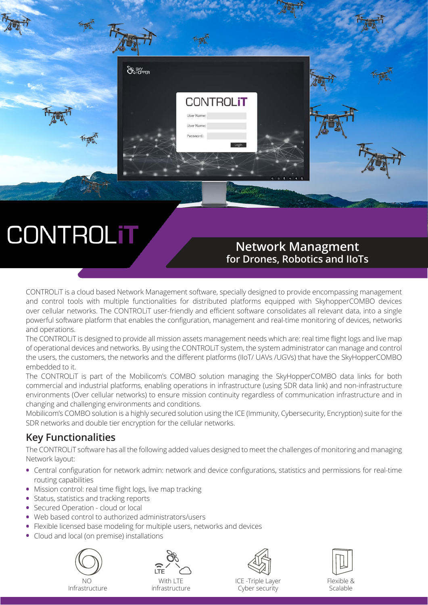

# **CONTROLIT**

### **Network Managment for Drones, Robotics and IIoTs**

CONTROLiT is a cloud based Network Management software, specially designed to provide encompassing management and control tools with multiple functionalities for distributed platforms equipped with SkyhopperCOMBO devices over cellular networks. The CONTROLiT user-friendly and efficient software consolidates all relevant data, into a single powerful software platform that enables the configuration, management and real-time monitoring of devices, networks and operations.

The CONTROLiT is designed to provide all mission assets management needs which are: real time flight logs and live map of operational devices and networks. By using the CONTROLiT system, the system administrator can manage and control the users, the customers, the networks and the different platforms (IIoT/ UAVs /UGVs) that have the SkyHopperCOMBO embedded to it.

The CONTROLiT is part of the Mobilicom's COMBO solution managing the SkyHopperCOMBO data links for both commercial and industrial platforms, enabling operations in infrastructure (using SDR data link) and non-infrastructure environments (Over cellular networks) to ensure mission continuity regardless of communication infrastructure and in changing and challenging environments and conditions.

Mobilicom's COMBO solution is a highly secured solution using the ICE (Immunity, Cybersecurity, Encryption) suite for the SDR networks and double tier encryption for the cellular networks.

### **Key Functionalities**

The CONTROLiT software has all the following added values designed to meet the challenges of monitoring and managing Network layout:

- **•** Central configuration for network admin: network and device configurations, statistics and permissions for real-time routing capabilities
- **•** Mission control: real time flight logs, live map tracking
- **•** Status, statistics and tracking reports
- **•** Secured Operation cloud or local
- **•** Web based control to authorized administrators/users
- **•** Flexible licensed base modeling for multiple users, networks and devices
- **•** Cloud and local (on premise) installations







ICE -Triple Layer Cyber security



Flexible & Scalable